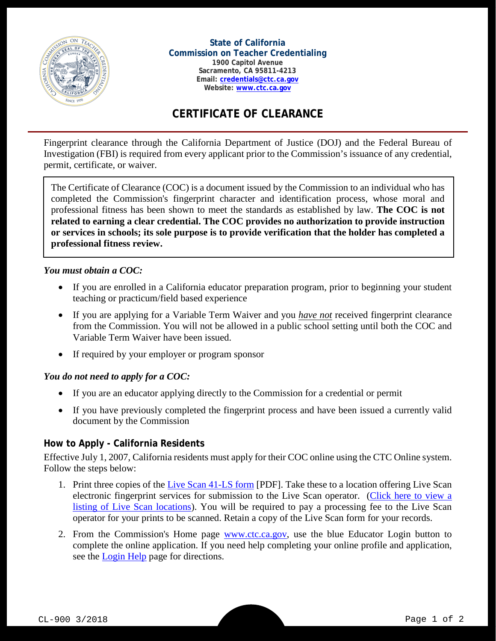

# **CERTIFICATE OF CLEARANCE**

Fingerprint clearance through the California Department of Justice (DOJ) and the Federal Bureau of Investigation (FBI) is required from every applicant prior to the Commission's issuance of any credential, permit, certificate, or waiver.

The Certificate of Clearance (COC) is a document issued by the Commission to an individual who has completed the Commission's fingerprint character and identification process, whose moral and professional fitness has been shown to meet the standards as established by law. **The COC is not related to earning a clear credential. The COC provides no authorization to provide instruction or services in schools; its sole purpose is to provide verification that the holder has completed a professional fitness review.**

#### *You must obtain a COC:*

- If you are enrolled in a California educator preparation program, prior to beginning your student teaching or practicum/field based experience
- If you are applying for a Variable Term Waiver and you *have not* received fingerprint clearance from the Commission. You will not be allowed in a public school setting until both the COC and Variable Term Waiver have been issued.
- If required by your employer or program sponsor

#### *You do not need to apply for a COC:*

- If you are an educator applying directly to the Commission for a credential or permit
- If you have previously completed the fingerprint process and have been issued a currently valid document by the Commission

### **How to Apply - California Residents**

Effective July 1, 2007, California residents must apply for their COC online using the CTC Online system. Follow the steps below:

- 1. Print three copies of the Live [Scan 41-LS form](http://www.ctc.ca.gov/credentials/leaflets/41-LS.pdf) [PDF]. Take these to a location offering Live Scan electronic fingerprint services for submission to the Live Scan operator. (Click [here to view a](http://ag.ca.gov/fingerprints/publications/contact.php)  listing of Live [Scan locations\)](http://ag.ca.gov/fingerprints/publications/contact.php). You will be required to pay a processing fee to the Live Scan operator for your prints to be scanned. Retain a copy of the Live Scan form for your records.
- 2. From the Commission's Home page [www.ctc.ca.gov,](http://www.ctc.ca.gov/) use the blue Educator Login button to complete the online application. If you need help completing your online profile and application, see the **Login Help** page for directions.